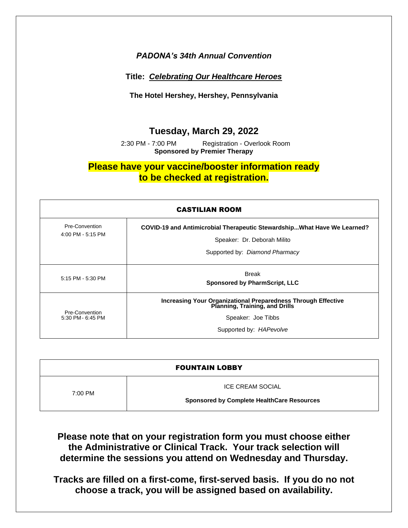#### *PADONA's 34th Annual Convention*

#### **Title:** *Celebrating Our Healthcare Heroes*

**The Hotel Hershey, Hershey, Pennsylvania**

### **Tuesday, March 29, 2022**

 2:30 PM - 7:00 PM Registration - Overlook Room **Sponsored by Premier Therapy**

## **Please have your vaccine/booster information ready to be checked at registration.**

| <b>CASTILIAN ROOM</b>               |                                                                                                                                                  |  |
|-------------------------------------|--------------------------------------------------------------------------------------------------------------------------------------------------|--|
| Pre-Convention<br>4:00 PM - 5:15 PM | COVID-19 and Antimicrobial Therapeutic StewardshipWhat Have We Learned?<br>Speaker: Dr. Deborah Milito<br>Supported by: Diamond Pharmacy         |  |
| 5:15 PM - 5:30 PM                   | Break<br><b>Sponsored by PharmScript, LLC</b>                                                                                                    |  |
| Pre-Convention<br>5:30 PM - 6:45 PM | Increasing Your Organizational Preparedness Through Effective<br>Planning, Training, and Drills<br>Speaker: Joe Tibbs<br>Supported by: HAPevolve |  |

| <b>FOUNTAIN LOBBY</b> |                                                   |  |
|-----------------------|---------------------------------------------------|--|
| 7:00 PM               | <b>ICE CREAM SOCIAL</b>                           |  |
|                       | <b>Sponsored by Complete HealthCare Resources</b> |  |

**Please note that on your registration form you must choose either the Administrative or Clinical Track. Your track selection will determine the sessions you attend on Wednesday and Thursday.**

**Tracks are filled on a first-come, first-served basis. If you do no not choose a track, you will be assigned based on availability.**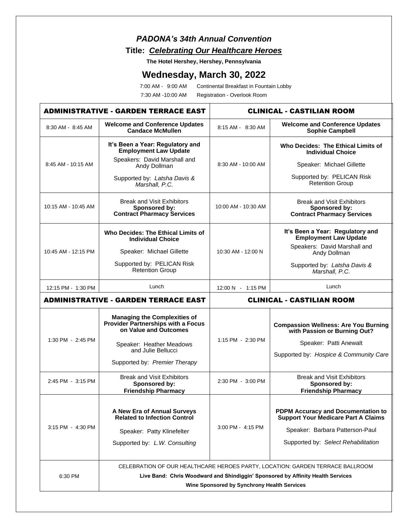## *PADONA's 34th Annual Convention* **Title:** *Celebrating Our Healthcare Heroes*

**The Hotel Hershey, Hershey, Pennsylvania**

# **Wednesday, March 30, 2022**

7:00 AM - 9:00 AM Continental Breakfast in Fountain Lobby

7:30 AM -10:00 AM Registration - Overlook Room

| <b>ADMINISTRATIVE - GARDEN TERRACE EAST</b> |                                                                                                                                                                                                                 | <b>CLINICAL - CASTILIAN ROOM</b> |                                                                                                                                                                   |
|---------------------------------------------|-----------------------------------------------------------------------------------------------------------------------------------------------------------------------------------------------------------------|----------------------------------|-------------------------------------------------------------------------------------------------------------------------------------------------------------------|
| 8:30 AM - 8:45 AM                           | <b>Welcome and Conference Updates</b><br><b>Candace McMullen</b>                                                                                                                                                | 8:15 AM - 8:30 AM                | <b>Welcome and Conference Updates</b><br><b>Sophie Campbell</b>                                                                                                   |
|                                             | It's Been a Year: Regulatory and<br><b>Employment Law Update</b>                                                                                                                                                | 8:30 AM - 10:00 AM               | Who Decides: The Ethical Limits of<br><b>Individual Choice</b>                                                                                                    |
| 8:45 AM - 10:15 AM                          | Speakers: David Marshall and<br>Andy Dollman                                                                                                                                                                    |                                  | Speaker: Michael Gillette                                                                                                                                         |
|                                             | Supported by: Latsha Davis &<br>Marshall, P.C.                                                                                                                                                                  |                                  | Supported by: PELICAN Risk<br>Retention Group                                                                                                                     |
| 10:15 AM - 10:45 AM                         | <b>Break and Visit Exhibitors</b><br>Sponsored by:<br><b>Contract Pharmacy Services</b>                                                                                                                         | 10:00 AM - 10:30 AM              | <b>Break and Visit Exhibitors</b><br>Sponsored by:<br><b>Contract Pharmacy Services</b>                                                                           |
|                                             | Who Decides: The Ethical Limits of<br><b>Individual Choice</b>                                                                                                                                                  |                                  | It's Been a Year: Regulatory and<br><b>Employment Law Update</b>                                                                                                  |
| 10:45 AM - 12:15 PM                         | Speaker: Michael Gillette                                                                                                                                                                                       | 10:30 AM - 12:00 N               | Speakers: David Marshall and<br>Andy Dollman                                                                                                                      |
|                                             | Supported by: PELICAN Risk<br>Retention Group                                                                                                                                                                   |                                  | Supported by: Latsha Davis &<br>Marshall, P.C.                                                                                                                    |
| 12:15 PM - 1:30 PM                          | Lunch                                                                                                                                                                                                           | 12:00 N - 1:15 PM                | Lunch                                                                                                                                                             |
|                                             | <b>ADMINISTRATIVE - GARDEN TERRACE EAST</b>                                                                                                                                                                     | <b>CLINICAL - CASTILIAN ROOM</b> |                                                                                                                                                                   |
| 1:30 PM - 2:45 PM                           | <b>Managing the Complexities of</b><br>Provider Partnerships with a Focus<br>on Value and Outcomes<br>Speaker: Heather Meadows<br>and Julie Bellucci<br>Supported by: Premier Therapy                           | 1:15 PM - 2:30 PM                | <b>Compassion Wellness: Are You Burning</b><br>with Passion or Burning Out?<br>Speaker: Patti Anewalt<br>Supported by: Hospice & Community Care                   |
| 2:45 PM - 3:15 PM                           | <b>Break and Visit Exhibitors</b><br>Sponsored by:<br><b>Friendship Pharmacy</b>                                                                                                                                | 2:30 PM - 3:00 PM                | <b>Break and Visit Exhibitors</b><br>Sponsored by:<br><b>Friendship Pharmacy</b>                                                                                  |
| 3:15 PM - 4:30 PM                           | A New Era of Annual Surveys<br><b>Related to Infection Control</b><br>Speaker: Patty Klinefelter<br>Supported by: L.W. Consulting                                                                               | 3:00 PM - 4:15 PM                | <b>PDPM Accuracy and Documentation to</b><br><b>Support Your Medicare Part A Claims</b><br>Speaker: Barbara Patterson-Paul<br>Supported by: Select Rehabilitation |
| 6:30 PM                                     | CELEBRATION OF OUR HEALTHCARE HEROES PARTY, LOCATION: GARDEN TERRACE BALLROOM<br>Live Band: Chris Woodward and Shindiggin' Sponsored by Affinity Health Services<br>Wine Sponsored by Synchrony Health Services |                                  |                                                                                                                                                                   |
|                                             |                                                                                                                                                                                                                 |                                  |                                                                                                                                                                   |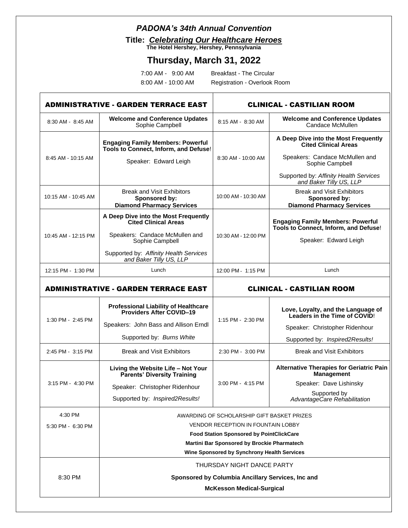### *PADONA's 34th Annual Convention*

**Title:** *Celebrating Our Healthcare Heroes* 

**The Hotel Hershey, Hershey, Pennsylvania**

# **Thursday, March 31, 2022**

| 7:00 AM -          | $9:00$ AM |
|--------------------|-----------|
| 8:00 AM - 10:00 AM |           |

Breakfast - The Circular Registration - Overlook Room

| <b>ADMINISTRATIVE - GARDEN TERRACE EAST</b> |                                                                                            | <b>CLINICAL - CASTILIAN ROOM</b> |                                                                                        |
|---------------------------------------------|--------------------------------------------------------------------------------------------|----------------------------------|----------------------------------------------------------------------------------------|
| 8:30 AM - 8:45 AM                           | <b>Welcome and Conference Updates</b><br>Sophie Campbell                                   | 8:15 AM - 8:30 AM                | <b>Welcome and Conference Updates</b><br>Candace McMullen                              |
|                                             | <b>Engaging Family Members: Powerful</b><br>Tools to Connect, Inform, and Defuse!          |                                  | A Deep Dive into the Most Frequently<br><b>Cited Clinical Areas</b>                    |
| 8:45 AM - 10:15 AM                          | Speaker: Edward Leigh                                                                      | 8:30 AM - 10:00 AM               | Speakers: Candace McMullen and<br>Sophie Campbell                                      |
|                                             |                                                                                            |                                  | Supported by: Affinity Health Services<br>and Baker Tilly US, LLP                      |
| 10:15 AM - 10:45 AM                         | <b>Break and Visit Exhibitors</b><br>Sponsored by:<br><b>Diamond Pharmacy Services</b>     | 10:00 AM - 10:30 AM              | <b>Break and Visit Exhibitors</b><br>Sponsored by:<br><b>Diamond Pharmacy Services</b> |
|                                             | A Deep Dive into the Most Frequently<br><b>Cited Clinical Areas</b>                        |                                  | <b>Engaging Family Members: Powerful</b><br>Tools to Connect, Inform, and Defuse!      |
| 10:45 AM - 12:15 PM                         | Speakers: Candace McMullen and<br>Sophie Campbell                                          | 10:30 AM - 12:00 PM              | Speaker: Edward Leigh                                                                  |
|                                             | Supported by: Affinity Health Services<br>and Baker Tilly US, LLP                          |                                  |                                                                                        |
| 12:15 PM - 1:30 PM                          | Lunch                                                                                      | 12:00 PM - 1:15 PM               | Lunch                                                                                  |
| <b>ADMINISTRATIVE - GARDEN TERRACE EAST</b> |                                                                                            | <b>CLINICAL - CASTILIAN ROOM</b> |                                                                                        |
|                                             | <b>Professional Liability of Healthcare</b><br>Providers After COVID-19                    |                                  | Love, Loyalty, and the Language of<br>Leaders in the Time of COVID!                    |
| 1:30 PM - 2:45 PM                           | Speakers: John Bass and Allison Erndl                                                      | 1:15 PM - 2:30 PM                | Speaker: Christopher Ridenhour                                                         |
|                                             | Supported by: Burns White                                                                  |                                  | Supported by: Inspired2Results!                                                        |
| 2:45 PM - 3:15 PM                           | <b>Break and Visit Exhibitors</b>                                                          | 2:30 PM - 3:00 PM                | <b>Break and Visit Exhibitors</b>                                                      |
|                                             | Living the Website Life - Not Your<br><b>Parents' Diversity Training</b>                   |                                  | <b>Alternative Therapies for Geriatric Pain</b><br><b>Management</b>                   |
| 3:15 PM - 4:30 PM                           | Speaker: Christopher Ridenhour                                                             | 3:00 PM - 4:15 PM                | Speaker: Dave Lishinsky                                                                |
|                                             | Supported by: Inspired2Results!                                                            |                                  | Supported by<br>AdvantageCare Rehabilitation                                           |
| 4:30 PM                                     | AWARDING OF SCHOLARSHIP GIFT BASKET PRIZES                                                 |                                  |                                                                                        |
| 5:30 PM - 6:30 PM                           | <b>VENDOR RECEPTION IN FOUNTAIN LOBBY</b>                                                  |                                  |                                                                                        |
|                                             | <b>Food Station Sponsored by PointClickCare</b>                                            |                                  |                                                                                        |
|                                             | Martini Bar Sponsored by Brockie Pharmatech<br>Wine Sponsored by Synchrony Health Services |                                  |                                                                                        |
|                                             | THURSDAY NIGHT DANCE PARTY                                                                 |                                  |                                                                                        |
| 8:30 PM                                     | Sponsored by Columbia Ancillary Services, Inc and                                          |                                  |                                                                                        |
|                                             | <b>McKesson Medical-Surgical</b>                                                           |                                  |                                                                                        |